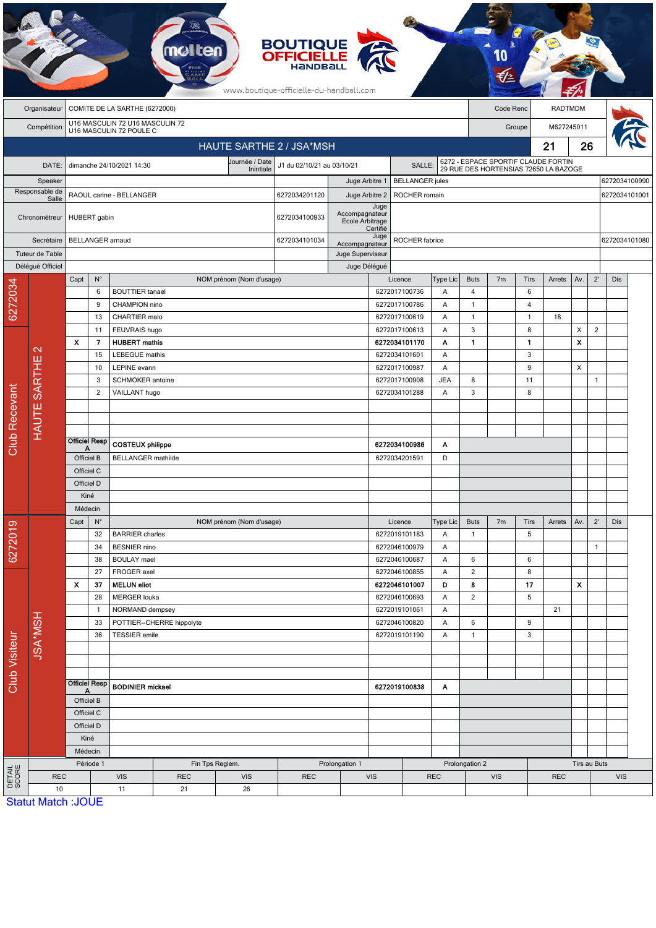|                        |                           |                                |                      |                                                            |                           |                               | <b>BOUTIQUE</b><br><b>OFFICIELLE</b><br>HANDBALL<br>www.boutique-officielle-du-handball.com |                                   |                        |                                |                                                 |                | Code Renc<br><b>RADTMDM</b><br>M627245011<br>Groupe<br>21<br>6272 - ESPACE SPORTIF CLAUDE FORTIN<br>29 RUE DES HORTENSIAS 72650 LA BAZOGE |                   |            |                                                      |                |               |  |
|------------------------|---------------------------|--------------------------------|----------------------|------------------------------------------------------------|---------------------------|-------------------------------|---------------------------------------------------------------------------------------------|-----------------------------------|------------------------|--------------------------------|-------------------------------------------------|----------------|-------------------------------------------------------------------------------------------------------------------------------------------|-------------------|------------|------------------------------------------------------|----------------|---------------|--|
|                        | Organisateur              |                                |                      | COMITE DE LA SARTHE (6272000)                              |                           |                               |                                                                                             |                                   |                        |                                |                                                 |                |                                                                                                                                           |                   |            |                                                      |                |               |  |
|                        | Compétition               |                                |                      | U16 MASCULIN 72 U16 MASCULIN 72<br>U16 MASCULIN 72 POULE C |                           |                               |                                                                                             |                                   |                        |                                |                                                 |                |                                                                                                                                           |                   |            |                                                      |                |               |  |
|                        |                           |                                |                      |                                                            |                           |                               | HAUTE SARTHE 2 / JSA*MSH                                                                    |                                   |                        |                                |                                                 |                |                                                                                                                                           |                   |            |                                                      |                |               |  |
|                        | DATE:                     |                                |                      | dimanche 24/10/2021 14:30                                  |                           | Journée / Date                | J1 du 02/10/21 au 03/10/21                                                                  |                                   |                        | SALLE:                         |                                                 |                |                                                                                                                                           |                   |            |                                                      |                |               |  |
|                        | Speaker                   |                                |                      |                                                            |                           | Inintiale                     |                                                                                             | Juge Arbitre 1                    |                        | <b>BELLANGER</b> jules         |                                                 |                |                                                                                                                                           |                   |            |                                                      |                | 6272034100990 |  |
|                        | Responsable de<br>Salle   |                                |                      | RAOUL carine - BELLANGER                                   |                           |                               | 6272034201120                                                                               | Juge Arbitre 2                    |                        | ROCHER romain                  |                                                 |                |                                                                                                                                           |                   |            |                                                      |                | 6272034101001 |  |
|                        | Chronométreur             |                                | HUBERT gabin         |                                                            |                           |                               | 6272034100933                                                                               | Accompagnateur<br>Ecole Arbitrage | Juge<br>Certifié       |                                |                                                 |                |                                                                                                                                           |                   |            | 26<br>Av.<br>X<br>X<br>X<br>Av.<br>X<br>Tirs au Buts |                |               |  |
|                        | Secrétaire                |                                |                      | <b>BELLANGER</b> arnaud                                    |                           |                               | 6272034101034                                                                               | Accompagnateur                    | Juge<br>ROCHER fabrice |                                |                                                 |                |                                                                                                                                           |                   |            | 6272034101080                                        |                |               |  |
|                        | Tuteur de Table           |                                |                      |                                                            |                           |                               |                                                                                             |                                   | Juge Superviseur       |                                |                                                 |                |                                                                                                                                           |                   |            |                                                      |                |               |  |
|                        | Délégué Officiel          | Capt                           | $N^{\circ}$          |                                                            |                           | NOM prénom (Nom d'usage)      |                                                                                             | Juge Délégué                      |                        | Licence                        | Type Lic                                        | <b>Buts</b>    | 7 <sub>m</sub>                                                                                                                            | Tirs              | Arrets     |                                                      | $2^{\prime}$   | Dis           |  |
| 6272034                |                           |                                | 6                    | <b>BOUTTIER</b> tanael                                     |                           |                               |                                                                                             |                                   |                        | 6272017100736                  | Α                                               | $\overline{4}$ |                                                                                                                                           | 6                 |            |                                                      |                |               |  |
|                        |                           |                                | 9                    | CHAMPION nino                                              |                           |                               |                                                                                             |                                   |                        | 6272017100786                  | Α                                               | $\mathbf{1}$   |                                                                                                                                           | 4                 |            |                                                      |                |               |  |
|                        |                           |                                | 13                   | CHARTIER malo                                              |                           |                               |                                                                                             |                                   |                        | 6272017100619                  | Α                                               | $\mathbf{1}$   |                                                                                                                                           | $\mathbf{1}$      | 18         |                                                      |                |               |  |
|                        |                           |                                | 11                   | FEUVRAIS hugo                                              |                           |                               |                                                                                             |                                   |                        | 6272017100613                  | Α                                               | 3              |                                                                                                                                           | 8                 |            |                                                      | $\overline{2}$ |               |  |
|                        | $\mathbf{\Omega}$         | $\boldsymbol{\mathsf{x}}$      | 7<br>15              | <b>HUBERT</b> mathis<br><b>LEBEGUE</b> mathis              |                           |                               |                                                                                             |                                   |                        | 6272034101170<br>6272034101601 | Α<br>Α                                          | $\mathbf{1}$   |                                                                                                                                           | $\mathbf{1}$<br>3 |            |                                                      |                |               |  |
|                        | HAUTE SARTHE              | 10                             |                      | LEPINE evann                                               |                           |                               |                                                                                             |                                   |                        | 6272017100987                  | Α                                               |                |                                                                                                                                           | 9                 |            |                                                      |                |               |  |
|                        |                           |                                | 3                    | <b>SCHMOKER</b> antoine                                    |                           |                               |                                                                                             |                                   |                        | 6272017100908                  | <b>JEA</b>                                      | 8              |                                                                                                                                           | 11                |            |                                                      | $\mathbf{1}$   |               |  |
|                        |                           |                                | $\overline{2}$       | VAILLANT hugo                                              |                           |                               |                                                                                             |                                   |                        | 6272034101288                  | Α                                               | 3              |                                                                                                                                           | 8                 |            |                                                      |                |               |  |
|                        |                           |                                |                      |                                                            |                           |                               |                                                                                             |                                   |                        |                                |                                                 |                |                                                                                                                                           |                   |            |                                                      |                |               |  |
|                        |                           |                                |                      |                                                            |                           |                               |                                                                                             |                                   |                        |                                |                                                 |                |                                                                                                                                           |                   |            |                                                      |                |               |  |
| <b>Club Recevant</b>   |                           |                                | <b>Officiel Resp</b> | <b>COSTEUX philippe</b>                                    |                           |                               |                                                                                             |                                   |                        | 6272034100986                  | Α                                               |                |                                                                                                                                           |                   |            |                                                      |                |               |  |
|                        |                           | А                              | Officiel B           | <b>BELLANGER</b> mathilde                                  |                           |                               |                                                                                             |                                   |                        | 6272034201591                  | D                                               |                |                                                                                                                                           |                   |            |                                                      |                |               |  |
|                        |                           | Officiel C                     |                      |                                                            |                           |                               |                                                                                             |                                   |                        |                                |                                                 |                |                                                                                                                                           |                   |            |                                                      |                |               |  |
|                        |                           | Officiel D                     |                      |                                                            |                           |                               |                                                                                             |                                   |                        |                                |                                                 |                |                                                                                                                                           |                   |            |                                                      |                |               |  |
|                        |                           | Kiné                           |                      |                                                            |                           |                               |                                                                                             |                                   |                        |                                |                                                 |                |                                                                                                                                           |                   |            |                                                      |                |               |  |
|                        |                           | Médecin<br>Capt<br>$N^{\circ}$ |                      |                                                            |                           |                               |                                                                                             |                                   |                        |                                | <b>Buts</b><br>7 <sub>m</sub><br>Tirs<br>Arrets |                |                                                                                                                                           |                   |            | $2^{\prime}$                                         | Dis            |               |  |
| 6272019                |                           |                                | 32                   | <b>BARRIER</b> charles                                     |                           | NOM prénom (Nom d'usage)      |                                                                                             |                                   |                        | Licence<br>6272019101183       | Type Lic<br>Α                                   | $\mathbf{1}$   |                                                                                                                                           | 5                 |            |                                                      |                |               |  |
|                        |                           |                                | 34                   | <b>BESNIER</b> nino                                        |                           |                               |                                                                                             |                                   |                        | 6272046100979                  | Α                                               |                |                                                                                                                                           |                   |            |                                                      | $\mathbf{1}$   |               |  |
|                        |                           |                                | 38                   | <b>BOULAY</b> mael                                         |                           |                               |                                                                                             |                                   |                        | 6272046100687                  | Α                                               | 6              |                                                                                                                                           | 6                 |            |                                                      |                |               |  |
|                        |                           |                                | 27                   | FROGER axel                                                |                           |                               |                                                                                             |                                   |                        | 6272046100855                  | Α                                               | $\overline{2}$ |                                                                                                                                           | 8                 |            |                                                      |                |               |  |
|                        |                           | $\boldsymbol{\mathsf{x}}$      | 37                   | <b>MELUN</b> eliot                                         |                           |                               |                                                                                             |                                   |                        | 6272046101007                  | D                                               | 8              |                                                                                                                                           | 17                |            |                                                      |                |               |  |
|                        |                           |                                | 28<br>$\mathbf{1}$   | <b>MERGER louka</b><br>NORMAND dempsey                     |                           |                               |                                                                                             |                                   |                        | 6272046100693<br>6272019101061 | Α<br>Α                                          | $\overline{2}$ |                                                                                                                                           | 5                 | 21         |                                                      |                |               |  |
|                        | <b>JSA*MSH</b>            |                                | 33                   |                                                            | POTTIER--CHERRE hippolyte |                               |                                                                                             |                                   |                        | 6272046100820                  | A                                               | 6              |                                                                                                                                           | 9                 |            |                                                      |                |               |  |
|                        |                           |                                | 36                   | <b>TESSIER</b> emile                                       |                           |                               |                                                                                             |                                   |                        | 6272019101190                  | A                                               | $\mathbf{1}$   |                                                                                                                                           | 3                 |            |                                                      |                |               |  |
|                        |                           |                                |                      |                                                            |                           |                               |                                                                                             |                                   |                        |                                |                                                 |                |                                                                                                                                           |                   |            |                                                      |                |               |  |
|                        |                           |                                |                      |                                                            |                           |                               |                                                                                             |                                   |                        |                                |                                                 |                |                                                                                                                                           |                   |            |                                                      |                |               |  |
| <b>Club Visiteur</b>   |                           |                                | <b>Officiel Resp</b> | <b>BODINIER</b> mickael                                    |                           |                               |                                                                                             |                                   |                        | 6272019100838                  | A                                               |                |                                                                                                                                           |                   |            |                                                      |                |               |  |
|                        |                           |                                | Officiel B           |                                                            |                           |                               |                                                                                             |                                   |                        |                                |                                                 |                |                                                                                                                                           |                   |            |                                                      |                |               |  |
|                        |                           |                                | Officiel C           |                                                            |                           |                               |                                                                                             |                                   |                        |                                |                                                 |                |                                                                                                                                           |                   |            |                                                      |                |               |  |
|                        |                           |                                | Officiel D           |                                                            |                           |                               |                                                                                             |                                   |                        |                                |                                                 |                |                                                                                                                                           |                   |            |                                                      |                |               |  |
|                        |                           |                                | Kiné                 |                                                            |                           |                               |                                                                                             |                                   |                        |                                |                                                 |                |                                                                                                                                           |                   |            |                                                      |                |               |  |
|                        |                           | Médecin                        |                      |                                                            |                           |                               |                                                                                             |                                   |                        |                                |                                                 |                |                                                                                                                                           |                   |            |                                                      |                |               |  |
| <b>DETAIL</b><br>SCORE | <b>REC</b>                |                                | Période 1            | <b>VIS</b>                                                 | <b>REC</b>                | Fin Tps Reglem.<br><b>VIS</b> | <b>REC</b>                                                                                  | Prolongation 1<br>VIS             |                        |                                | <b>REC</b>                                      | Prolongation 2 | <b>VIS</b>                                                                                                                                |                   | <b>REC</b> |                                                      |                | <b>VIS</b>    |  |
|                        | 10                        |                                |                      | 11                                                         | 21                        | 26                            |                                                                                             |                                   |                        |                                |                                                 |                |                                                                                                                                           |                   |            |                                                      |                |               |  |
|                        | <b>Statut Match: JOUE</b> |                                |                      |                                                            |                           |                               |                                                                                             |                                   |                        |                                |                                                 |                |                                                                                                                                           |                   |            |                                                      |                |               |  |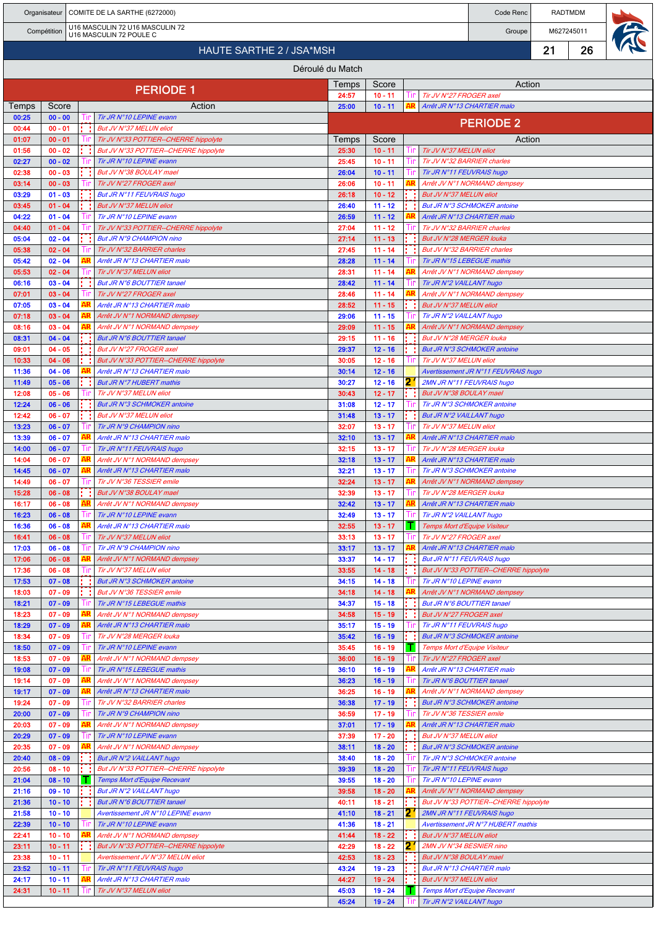|                |                        |    | Organisateur   COMITE DE LA SARTHE (6272000)                               |                      |                        |     |                                                           | Code Renc                                                          |    | RADTMDM |  |
|----------------|------------------------|----|----------------------------------------------------------------------------|----------------------|------------------------|-----|-----------------------------------------------------------|--------------------------------------------------------------------|----|---------|--|
|                | Compétition            |    | U16 MASCULIN 72 U16 MASCULIN 72<br>U16 MASCULIN 72 POULE C                 | M627245011<br>Groupe |                        |     |                                                           |                                                                    |    |         |  |
|                |                        |    | <b>HAUTE SARTHE 2 / JSA*MSH</b>                                            |                      |                        |     |                                                           |                                                                    | 21 | 26      |  |
|                |                        |    |                                                                            | Déroulé du Match     |                        |     |                                                           |                                                                    |    |         |  |
|                |                        |    |                                                                            |                      |                        |     |                                                           | Action                                                             |    |         |  |
|                |                        |    | <b>PERIODE 1</b>                                                           | Temps<br>24:57       | Score<br>$10 - 11$     | Tır | Tir JV N°27 FROGER axel                                   |                                                                    |    |         |  |
| Temps          | Score                  |    | Action                                                                     | 25:00                | $10 - 11$              |     |                                                           | Arrêt JR N°13 CHARTIER malo                                        |    |         |  |
| 00:25<br>00:44 | $00 - 00$<br>$00 - 01$ |    | Tir JR N°10 LEPINE evann<br>But JV N°37 MELUN eliot                        |                      |                        |     |                                                           | <b>PERIODE 2</b>                                                   |    |         |  |
| 01:07          | $00 - 01$              |    | Tir JV N°33 POTTIER--CHERRE hippolyte                                      | Temps                | Score                  |     |                                                           | Action                                                             |    |         |  |
| 01:56          | $00 - 02$              |    | But JV N°33 POTTIER--CHERRE hippolyte                                      | 25:30                | $10 - 11$              | Шr  | Tir JV N°37 MELUN eliot                                   |                                                                    |    |         |  |
| 02:27<br>02:38 | $00 - 02$<br>$00 - 03$ |    | Tir JR N°10 LEPINE evann<br>But JV N°38 BOULAY mael                        | 25:45<br>26:04       | $10 - 11$<br>$10 - 11$ | Пr  | Tir JV N°32 BARRIER charles<br>Tir JR N°11 FEUVRAIS hugo  |                                                                    |    |         |  |
| 03:14          | $00 - 03$              |    | Tir JV N°27 FROGER axel                                                    | 26:06                | $10 - 11$              |     |                                                           | Arrêt JV N°1 NORMAND dempsey                                       |    |         |  |
| 03:29          | $01 - 03$              |    | But JR N°11 FEUVRAIS hugo                                                  | 26:18                | $10 - 12$              |     | But JV N°37 MELUN eliot                                   |                                                                    |    |         |  |
| 03:45<br>04:22 | $01 - 04$<br>$01 - 04$ |    | But JV N°37 MELUN eliot<br>Tir JR N°10 LEPINE evann                        | 26:40<br>26:59       | $11 - 12$<br>$11 - 12$ |     |                                                           | <b>But JR N°3 SCHMOKER antoine</b><br>Arrêt JR N°13 CHARTIER malo  |    |         |  |
| 04:40          | $01 - 04$              |    | Tir JV N°33 POTTIER--CHERRE hippolyte                                      | 27:04                | $11 - 12$              |     | Tir JV N°32 BARRIER charles                               |                                                                    |    |         |  |
| 05:04          | $02 - 04$              |    | But JR N°9 CHAMPION nino                                                   | 27:14                | $11 - 13$              |     | But JV N°28 MERGER louka                                  |                                                                    |    |         |  |
| 05:38<br>05:42 | $02 - 04$<br>$02 - 04$ |    | Tir JV N°32 BARRIER charles<br>Arrêt JR N°13 CHARTIER malo                 | 27:45<br>28:28       | $11 - 14$<br>$11 - 14$ |     | But JV N°32 BARRIER charles<br>Tir JR N°15 LEBEGUE mathis |                                                                    |    |         |  |
| 05:53          | $02 - 04$              |    | Tir JV N°37 MELUN eliot                                                    | 28:31                | $11 - 14$              |     |                                                           | Arrêt JV N°1 NORMAND dempsey                                       |    |         |  |
| 06:16          | $03 - 04$              |    | But JR N°6 BOUTTIER tanael                                                 | 28:42                | $11 - 14$              |     | Tir JR N°2 VAILLANT hugo                                  |                                                                    |    |         |  |
| 07:01          | $03 - 04$              |    | Tir JV N°27 FROGER axel<br>Arrêt JR N°13 CHARTIER malo                     | 28:46                | $11 - 14$              |     |                                                           | Arrêt JV N°1 NORMAND dempsey                                       |    |         |  |
| 07:05<br>07:18 | $03 - 04$<br>$03 - 04$ |    | Arrêt JV N°1 NORMAND dempsey                                               | 28:52<br>29:06       | $11 - 15$<br>$11 - 15$ |     | But JV N°37 MELUN eliot<br>Tir JR N°2 VAILLANT hugo       |                                                                    |    |         |  |
| 08:16          | $03 - 04$              |    | Arrêt JV N°1 NORMAND dempsey                                               | 29:09                | $11 - 15$              |     |                                                           | Arrêt JV N°1 NORMAND dempsey                                       |    |         |  |
| 08:31          | $04 - 04$              |    | But JR N°6 BOUTTIER tanael                                                 | 29:15                | $11 - 16$              |     | But JV N°28 MERGER louka                                  |                                                                    |    |         |  |
| 09:01<br>10:33 | $04 - 05$<br>$04 - 06$ |    | But JV N°27 FROGER axel<br>But JV N°33 POTTIER--CHERRE hippolyte           | 29:37<br>30:05       | $12 - 16$<br>$12 - 16$ | Шr  | Tir JV N°37 MELUN eliot                                   | <b>But JR N°3 SCHMOKER antoine</b>                                 |    |         |  |
| 11:36          | $04 - 06$              |    | Arrêt JR N°13 CHARTIER malo                                                | 30:14                | $12 - 16$              |     |                                                           | Avertissement JR N°11 FEUVRAIS hugo                                |    |         |  |
| 11:49          | $05 - 06$              |    | <b>But JR N°7 HUBERT mathis</b>                                            | 30:27                | $12 - 16$              | 2.  |                                                           | 2MN JR N°11 FEUVRAIS hugo                                          |    |         |  |
| 12:08<br>12:24 | $05 - 06$<br>$06 - 06$ |    | Tir JV N°37 MELUN eliot<br><b>But JR N°3 SCHMOKER antoine</b>              | 30:43<br>31:08       | $12 - 17$<br>$12 - 17$ |     | But JV N°38 BOULAY mael                                   | Tir JR N°3 SCHMOKER antoine                                        |    |         |  |
| 12:42          | $06 - 07$              |    | But JV N°37 MELUN eliot                                                    | 31:48                | $13 - 17$              |     | <b>But JR N°2 VAILLANT hugo</b>                           |                                                                    |    |         |  |
| 13:23          | $06 - 07$              |    | Tir JR N°9 CHAMPION nino                                                   | 32:07                | $13 - 17$              |     | Tir JV N°37 MELUN eliot                                   |                                                                    |    |         |  |
| 13:39<br>14:00 | $06 - 07$<br>$06 - 07$ |    | Arrêt JR N°13 CHARTIER malo<br>Tir JR N°11 FEUVRAIS hugo                   | 32:10<br>32:15       | $13 - 17$<br>$13 - 17$ |     | Tir JV N°28 MERGER louka                                  | Arrêt JR N°13 CHARTIER malo                                        |    |         |  |
| 14:04          | $06 - 07$              |    | Arrêt JV N°1 NORMAND dempsey                                               | 32:18                | $13 - 17$              |     |                                                           | Arrêt JR N°13 CHARTIER malo                                        |    |         |  |
| 14:45          | $06 - 07$              |    | Arrêt JR N°13 CHARTIER malo                                                | 32:21                | $13 - 17$              |     |                                                           | Tir JR N°3 SCHMOKER antoine                                        |    |         |  |
| 14:49<br>15:28 | $06 - 07$<br>$06 - 08$ |    | Tir JV N°36 TESSIER emile<br>But JV N°38 BOULAY mael                       | 32:24<br>32:39       | $13 - 17$<br>$13 - 17$ | Пr  | Tir JV N°28 MERGER louka                                  | Arrêt JV N°1 NORMAND dempsey                                       |    |         |  |
| 16:17          | $06 - 08$              |    | Arrêt JV N°1 NORMAND dempsey                                               | 32:42                | $13 - 17$              |     |                                                           | Arrêt JR N°13 CHARTIER malo                                        |    |         |  |
| 16:23          | $06 - 08$              |    | Tir JR N°10 LEPINE evann                                                   | 32:49                | $13 - 17$              |     | Tir JR N°2 VAILLANT hugo                                  |                                                                    |    |         |  |
| 16:36<br>16:41 | $06 - 08$<br>$06 - 08$ |    | Arrêt JR N°13 CHARTIER malo<br>Tir JV N°37 MELUN eliot                     | 32:55<br>33:13       | $13 - 17$<br>$13 - 17$ | ш   | Temps Mort d'Equipe Visiteur<br>Tir JV N°27 FROGER axel   |                                                                    |    |         |  |
| 17:03          | $06 - 08$              |    | Tir JR N°9 CHAMPION nino                                                   | 33:17                | $13 - 17$              |     |                                                           | Arrêt JR N°13 CHARTIER malo                                        |    |         |  |
| 17:06          | $06 - 08$              |    | Arrêt JV N°1 NORMAND dempsey                                               | 33:37                | $14 - 17$              | . . | But JR N°11 FEUVRAIS hugo                                 |                                                                    |    |         |  |
| 17:36<br>17:53 | $06 - 08$<br>$07 - 08$ |    | Tir JV N°37 MELUN eliot<br><b>But JR N°3 SCHMOKER antoine</b>              | 33:55<br>34:15       | $14 - 18$<br>$14 - 18$ |     | Tir JR N°10 LEPINE evann                                  | But JV N°33 POTTIER--CHERRE hippolyte                              |    |         |  |
| 18:03          | $07 - 09$              |    | But JV N°36 TESSIER emile                                                  | 34:18                | $14 - 18$              |     |                                                           | Arrêt JV N°1 NORMAND dempsey                                       |    |         |  |
| 18:21          | $07 - 09$              |    | Tir JR N°15 LEBEGUE mathis                                                 | 34:37                | $15 - 18$              |     | <b>But JR N°6 BOUTTIER tanael</b>                         |                                                                    |    |         |  |
| 18:23<br>18:29 | $07 - 09$<br>$07 - 09$ |    | Arrêt JV N°1 NORMAND dempsey<br>Arrêt JR N°13 CHARTIER malo                | 34:58<br>35:17       | $15 - 19$<br>$15 - 19$ |     | But JV N°27 FROGER axel<br>Tir JR N°11 FEUVRAIS hugo      |                                                                    |    |         |  |
| 18:34          | $07 - 09$              |    | Tir JV N°28 MERGER louka                                                   | 35:42                | $16 - 19$              |     |                                                           | But JR N°3 SCHMOKER antoine                                        |    |         |  |
| 18:50          | $07 - 09$              |    | Tir JR N°10 LEPINE evann                                                   | 35:45                | $16 - 19$              |     | Temps Mort d'Equipe Visiteur                              |                                                                    |    |         |  |
| 18:53<br>19:08 | $07 - 09$<br>$07 - 09$ | AR | Arrêt JV N°1 NORMAND dempsey                                               | 36:00<br>36:10       | $16 - 19$<br>$16 - 19$ |     | Tir JV N°27 FROGER axel                                   |                                                                    |    |         |  |
| 19:14          | $07 - 09$              |    | Tir JR N°15 LEBEGUE mathis<br>Arrêt JV N°1 NORMAND dempsey                 | 36:23                | $16 - 19$              |     | Tir JR N°6 BOUTTIER tanael                                | Arrêt JR N°13 CHARTIER malo                                        |    |         |  |
| 19:17          | $07 - 09$              |    | Arrêt JR N°13 CHARTIER malo                                                | 36:25                | $16 - 19$              |     |                                                           | Arrêt JV N°1 NORMAND dempsey                                       |    |         |  |
| 19:24          | $07 - 09$<br>$07 - 09$ |    | Tir JV N°32 BARRIER charles<br>Tir JR N°9 CHAMPION nino                    | 36:38<br>36:59       | $17 - 19$<br>$17 - 19$ |     | Tir JV N°36 TESSIER emile                                 | But JR N°3 SCHMOKER antoine                                        |    |         |  |
| 20:00<br>20:03 | $07 - 09$              | AR | Arrêt JV N°1 NORMAND dempsey                                               | 37:01                | $17 - 19$              |     |                                                           | Arrêt JR N°13 CHARTIER malo                                        |    |         |  |
| 20:29          | $07 - 09$              |    | Tir JR N°10 LEPINE evann                                                   | 37:39                | $17 - 20$              |     | But JV N°37 MELUN eliot                                   |                                                                    |    |         |  |
| 20:35          | $07 - 09$              |    | Arrêt JV N°1 NORMAND dempsey                                               | 38:11                | $18 - 20$              |     |                                                           | <b>But JR N°3 SCHMOKER antoine</b>                                 |    |         |  |
| 20:40<br>20:56 | $08 - 09$<br>$08 - 10$ |    | <b>But JR N°2 VAILLANT hugo</b><br>But JV N°33 POTTIER--CHERRE hippolyte   | 38:40<br>39:39       | $18 - 20$<br>$18 - 20$ |     | Tir JR N°11 FEUVRAIS hugo                                 | Tir JR N°3 SCHMOKER antoine                                        |    |         |  |
| 21:04          | $08 - 10$              |    | <b>Temps Mort d'Equipe Recevant</b>                                        | 39:55                | $18 - 20$              |     | Tir JR N°10 LEPINE evann                                  |                                                                    |    |         |  |
| 21:16          | $09 - 10$              |    | But JR N°2 VAILLANT hugo                                                   | 39:58                | $18 - 20$              |     |                                                           | Arrêt JV N°1 NORMAND dempsey                                       |    |         |  |
| 21:36<br>21:58 | $10 - 10$<br>$10 - 10$ |    | But JR N°6 BOUTTIER tanael<br>Avertissement JR N°10 LEPINE evann           | 40:11<br>41:10       | $18 - 21$<br>$18 - 21$ | 21  |                                                           | But JV N°33 POTTIER--CHERRE hippolyte<br>2MN JR N°11 FEUVRAIS hugo |    |         |  |
| 22:39          | $10 - 10$              |    | Tir JR N°10 LEPINE evann                                                   | 41:36                | $18 - 21$              |     |                                                           | Avertissement JR N°7 HUBERT mathis                                 |    |         |  |
| 22:41          | $10 - 10$              |    | Arrêt JV N°1 NORMAND dempsey                                               | 41:44                | $18 - 22$              |     | But JV N°37 MELUN eliot                                   |                                                                    |    |         |  |
| 23:11<br>23:38 | $10 - 11$<br>$10 - 11$ |    | But JV N°33 POTTIER--CHERRE hippolyte<br>Avertissement JV N°37 MELUN eliot | 42:29<br>42:53       | $18 - 22$<br>$18 - 23$ | 21  | 2MN JV N°34 BESNIER nino<br>But JV N°38 BOULAY mael       |                                                                    |    |         |  |
| 23:52          | $10 - 11$              |    | Tir JR N°11 FEUVRAIS hugo                                                  | 43:24                | $19 - 23$              |     | But JR N°13 CHARTIER malo                                 |                                                                    |    |         |  |
| 24:17          | $10 - 11$              |    | Arrêt JR N°13 CHARTIER malo                                                | 44:27                | $19 - 24$              |     | But JV N°37 MELUN eliot                                   |                                                                    |    |         |  |
| 24:31          | $10 - 11$              |    | Tir JV N°37 MELUN eliot                                                    | 45:03<br>45:24       | $19 - 24$<br>$19 - 24$ | ш.  | Tir JR N°2 VAILLANT hugo                                  | Temps Mort d'Equipe Recevant                                       |    |         |  |
|                |                        |    |                                                                            |                      |                        |     |                                                           |                                                                    |    |         |  |